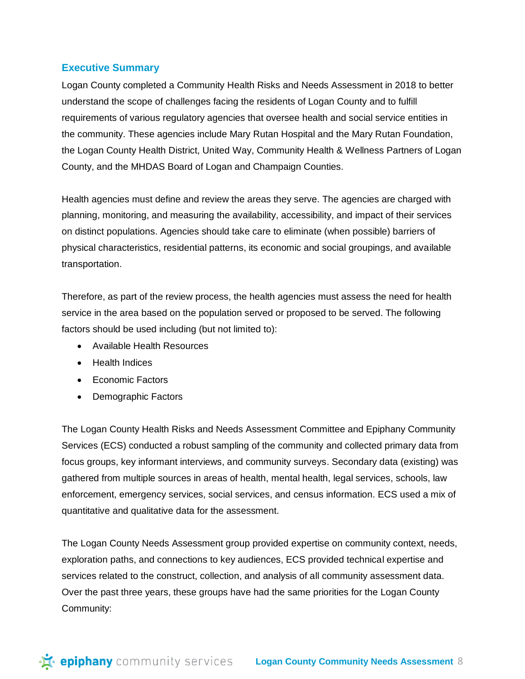#### **Executive Summary**

Logan County completed a Community Health Risks and Needs Assessment in 2018 to better understand the scope of challenges facing the residents of Logan County and to fulfill requirements of various regulatory agencies that oversee health and social service entities in the community. These agencies include Mary Rutan Hospital and the Mary Rutan Foundation, the Logan County Health District, United Way, Community Health & Wellness Partners of Logan County, and the MHDAS Board of Logan and Champaign Counties.

Health agencies must define and review the areas they serve. The agencies are charged with planning, monitoring, and measuring the availability, accessibility, and impact of their services on distinct populations. Agencies should take care to eliminate (when possible) barriers of physical characteristics, residential patterns, its economic and social groupings, and available transportation.

Therefore, as part of the review process, the health agencies must assess the need for health service in the area based on the population served or proposed to be served. The following factors should be used including (but not limited to):

- Available Health Resources
- Health Indices
- Economic Factors
- Demographic Factors

The Logan County Health Risks and Needs Assessment Committee and Epiphany Community Services (ECS) conducted a robust sampling of the community and collected primary data from focus groups, key informant interviews, and community surveys. Secondary data (existing) was gathered from multiple sources in areas of health, mental health, legal services, schools, law enforcement, emergency services, social services, and census information. ECS used a mix of quantitative and qualitative data for the assessment.

The Logan County Needs Assessment group provided expertise on community context, needs, exploration paths, and connections to key audiences, ECS provided technical expertise and services related to the construct, collection, and analysis of all community assessment data. Over the past three years, these groups have had the same priorities for the Logan County Community: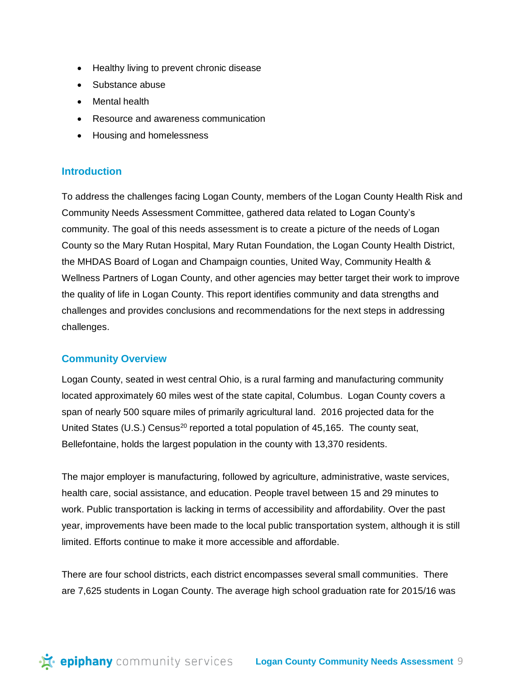- Healthy living to prevent chronic disease
- Substance abuse
- Mental health
- Resource and awareness communication
- Housing and homelessness

### **Introduction**

To address the challenges facing Logan County, members of the Logan County Health Risk and Community Needs Assessment Committee, gathered data related to Logan County's community. The goal of this needs assessment is to create a picture of the needs of Logan County so the Mary Rutan Hospital, Mary Rutan Foundation, the Logan County Health District, the MHDAS Board of Logan and Champaign counties, United Way, Community Health & Wellness Partners of Logan County, and other agencies may better target their work to improve the quality of life in Logan County. This report identifies community and data strengths and challenges and provides conclusions and recommendations for the next steps in addressing challenges.

### **Community Overview**

Logan County, seated in west central Ohio, is a rural farming and manufacturing community located approximately 60 miles west of the state capital, Columbus. Logan County covers a span of nearly 500 square miles of primarily agricultural land. 2016 projected data for the United States (U.S.) Census<sup>20</sup> reported a total population of  $45,165$ . The county seat, Bellefontaine, holds the largest population in the county with 13,370 residents.

The major employer is manufacturing, followed by agriculture, administrative, waste services, health care, social assistance, and education. People travel between 15 and 29 minutes to work. Public transportation is lacking in terms of accessibility and affordability. Over the past year, improvements have been made to the local public transportation system, although it is still limited. Efforts continue to make it more accessible and affordable.

There are four school districts, each district encompasses several small communities. There are 7,625 students in Logan County. The average high school graduation rate for 2015/16 was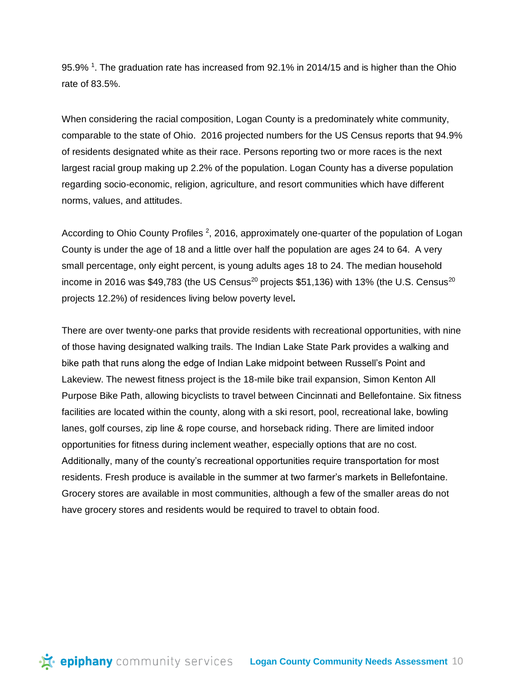95.9% <sup>1</sup>. The graduation rate has increased from 92.1% in 2014/15 and is higher than the Ohio rate of 83.5%.

When considering the racial composition, Logan County is a predominately white community, comparable to the state of Ohio. 2016 projected numbers for the US Census reports that 94.9% of residents designated white as their race. Persons reporting two or more races is the next largest racial group making up 2.2% of the population. Logan County has a diverse population regarding socio-economic, religion, agriculture, and resort communities which have different norms, values, and attitudes.

According to Ohio County Profiles <sup>2</sup>, 2016, approximately one-quarter of the population of Logan County is under the age of 18 and a little over half the population are ages 24 to 64. A very small percentage, only eight percent, is young adults ages 18 to 24. The median household income in 2016 was \$49,783 (the US Census<sup>20</sup> projects \$51,136) with 13% (the U.S. Census<sup>20</sup> projects 12.2%) of residences living below poverty level**.** 

There are over twenty-one parks that provide residents with recreational opportunities, with nine of those having designated walking trails. The Indian Lake State Park provides a walking and bike path that runs along the edge of Indian Lake midpoint between Russell's Point and Lakeview. The newest fitness project is the 18-mile bike trail expansion, Simon Kenton All Purpose Bike Path, allowing bicyclists to travel between Cincinnati and Bellefontaine. Six fitness facilities are located within the county, along with a ski resort, pool, recreational lake, bowling lanes, golf courses, zip line & rope course, and horseback riding. There are limited indoor opportunities for fitness during inclement weather, especially options that are no cost. Additionally, many of the county's recreational opportunities require transportation for most residents. Fresh produce is available in the summer at two farmer's markets in Bellefontaine. Grocery stores are available in most communities, although a few of the smaller areas do not have grocery stores and residents would be required to travel to obtain food.

**Logan Community Services** Logan County Community Needs Assessment 10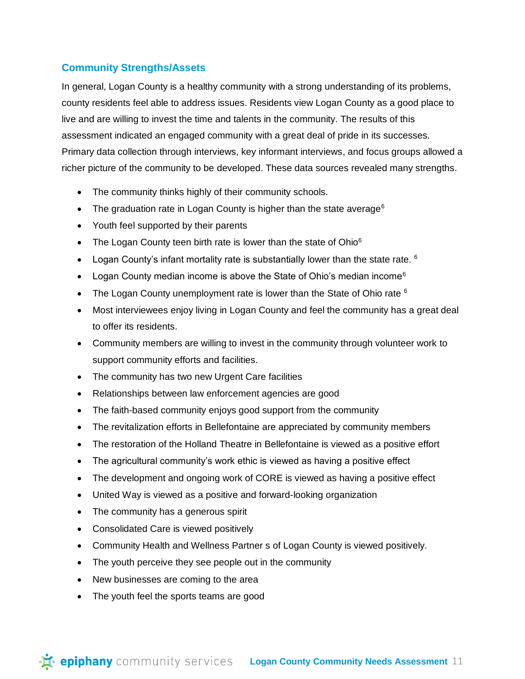# **Community Strengths/Assets**

In general, Logan County is a healthy community with a strong understanding of its problems, county residents feel able to address issues. Residents view Logan County as a good place to live and are willing to invest the time and talents in the community. The results of this assessment indicated an engaged community with a great deal of pride in its successes. Primary data collection through interviews, key informant interviews, and focus groups allowed a richer picture of the community to be developed. These data sources revealed many strengths.

- The community thinks highly of their community schools.
- The graduation rate in Logan County is higher than the state average<sup>6</sup>
- Youth feel supported by their parents
- The Logan County teen birth rate is lower than the state of Ohio $6$
- Logan County's infant mortality rate is substantially lower than the state rate.  $6$
- Logan County median income is above the State of Ohio's median income<sup>6</sup>
- The Logan County unemployment rate is lower than the State of Ohio rate  $6$
- Most interviewees enjoy living in Logan County and feel the community has a great deal to offer its residents.
- Community members are willing to invest in the community through volunteer work to support community efforts and facilities.
- The community has two new Urgent Care facilities
- Relationships between law enforcement agencies are good
- The faith-based community enjoys good support from the community
- The revitalization efforts in Bellefontaine are appreciated by community members
- The restoration of the Holland Theatre in Bellefontaine is viewed as a positive effort
- The agricultural community's work ethic is viewed as having a positive effect
- The development and ongoing work of CORE is viewed as having a positive effect
- United Way is viewed as a positive and forward-looking organization
- The community has a generous spirit
- Consolidated Care is viewed positively
- Community Health and Wellness Partner s of Logan County is viewed positively.
- The youth perceive they see people out in the community
- New businesses are coming to the area
- The youth feel the sports teams are good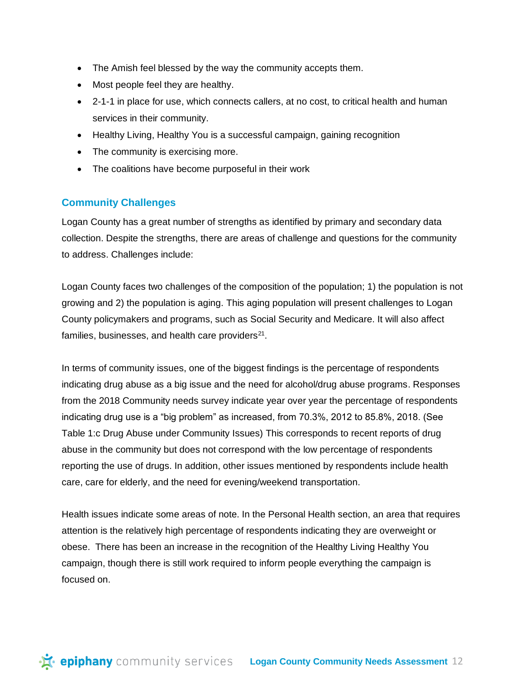- The Amish feel blessed by the way the community accepts them.
- Most people feel they are healthy.
- 2-1-1 in place for use, which connects callers, at no cost, to critical health and human services in their community.
- Healthy Living, Healthy You is a successful campaign, gaining recognition
- The community is exercising more.
- The coalitions have become purposeful in their work

### **Community Challenges**

Logan County has a great number of strengths as identified by primary and secondary data collection. Despite the strengths, there are areas of challenge and questions for the community to address. Challenges include:

Logan County faces two challenges of the composition of the population; 1) the population is not growing and 2) the population is aging. This aging population will present challenges to Logan County policymakers and programs, such as Social Security and Medicare. It will also affect families, businesses, and health care providers $^{21}$ .

In terms of community issues, one of the biggest findings is the percentage of respondents indicating drug abuse as a big issue and the need for alcohol/drug abuse programs. Responses from the 2018 Community needs survey indicate year over year the percentage of respondents indicating drug use is a "big problem" as increased, from 70.3%, 2012 to 85.8%, 2018. (See Table 1:c Drug Abuse under Community Issues) This corresponds to recent reports of drug abuse in the community but does not correspond with the low percentage of respondents reporting the use of drugs. In addition, other issues mentioned by respondents include health care, care for elderly, and the need for evening/weekend transportation.

Health issues indicate some areas of note. In the Personal Health section, an area that requires attention is the relatively high percentage of respondents indicating they are overweight or obese. There has been an increase in the recognition of the Healthy Living Healthy You campaign, though there is still work required to inform people everything the campaign is focused on.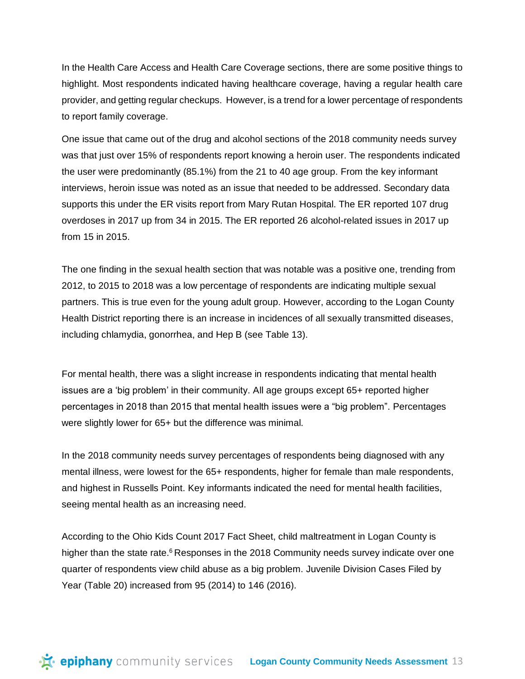In the Health Care Access and Health Care Coverage sections, there are some positive things to highlight. Most respondents indicated having healthcare coverage, having a regular health care provider, and getting regular checkups. However, is a trend for a lower percentage of respondents to report family coverage.

One issue that came out of the drug and alcohol sections of the 2018 community needs survey was that just over 15% of respondents report knowing a heroin user. The respondents indicated the user were predominantly (85.1%) from the 21 to 40 age group. From the key informant interviews, heroin issue was noted as an issue that needed to be addressed. Secondary data supports this under the ER visits report from Mary Rutan Hospital. The ER reported 107 drug overdoses in 2017 up from 34 in 2015. The ER reported 26 alcohol-related issues in 2017 up from 15 in 2015.

The one finding in the sexual health section that was notable was a positive one, trending from 2012, to 2015 to 2018 was a low percentage of respondents are indicating multiple sexual partners. This is true even for the young adult group. However, according to the Logan County Health District reporting there is an increase in incidences of all sexually transmitted diseases, including chlamydia, gonorrhea, and Hep B (see Table 13).

For mental health, there was a slight increase in respondents indicating that mental health issues are a 'big problem' in their community. All age groups except 65+ reported higher percentages in 2018 than 2015 that mental health issues were a "big problem". Percentages were slightly lower for 65+ but the difference was minimal.

In the 2018 community needs survey percentages of respondents being diagnosed with any mental illness, were lowest for the 65+ respondents, higher for female than male respondents, and highest in Russells Point. Key informants indicated the need for mental health facilities, seeing mental health as an increasing need.

According to the Ohio Kids Count 2017 Fact Sheet, child maltreatment in Logan County is higher than the state rate. $6$  Responses in the 2018 Community needs survey indicate over one quarter of respondents view child abuse as a big problem. Juvenile Division Cases Filed by Year (Table 20) increased from 95 (2014) to 146 (2016).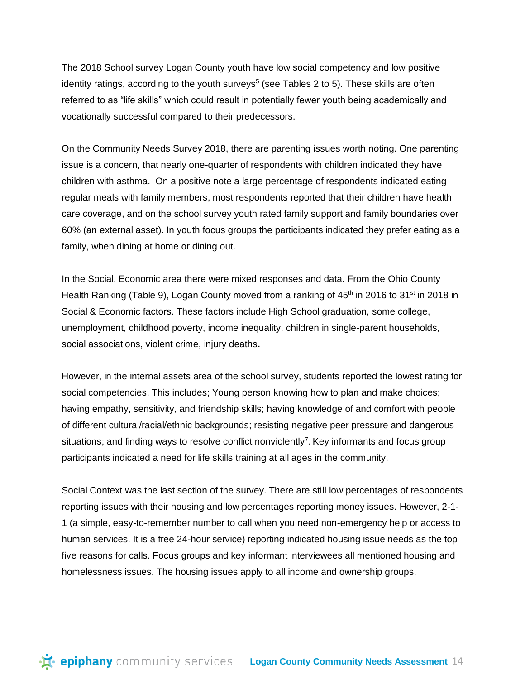The 2018 School survey Logan County youth have low social competency and low positive identity ratings, according to the youth surveys<sup>5</sup> (see Tables 2 to 5). These skills are often referred to as "life skills" which could result in potentially fewer youth being academically and vocationally successful compared to their predecessors.

On the Community Needs Survey 2018, there are parenting issues worth noting. One parenting issue is a concern, that nearly one-quarter of respondents with children indicated they have children with asthma. On a positive note a large percentage of respondents indicated eating regular meals with family members, most respondents reported that their children have health care coverage, and on the school survey youth rated family support and family boundaries over 60% (an external asset). In youth focus groups the participants indicated they prefer eating as a family, when dining at home or dining out.

In the Social, Economic area there were mixed responses and data. From the Ohio County Health Ranking (Table 9), Logan County moved from a ranking of  $45<sup>th</sup>$  in 2016 to 31<sup>st</sup> in 2018 in Social & Economic factors. These factors include High School graduation, some college, unemployment, childhood poverty, income inequality, children in single-parent households, social associations, violent crime, injury deaths**.** 

However, in the internal assets area of the school survey, students reported the lowest rating for social competencies. This includes; Young person knowing how to plan and make choices; having empathy, sensitivity, and friendship skills; having knowledge of and comfort with people of different cultural/racial/ethnic backgrounds; resisting negative peer pressure and dangerous situations; and finding ways to resolve conflict nonviolently<sup>7</sup>. Key informants and focus group participants indicated a need for life skills training at all ages in the community.

Social Context was the last section of the survey. There are still low percentages of respondents reporting issues with their housing and low percentages reporting money issues. However, 2-1- 1 (a simple, easy-to-remember number to call when you need non-emergency help or access to human services. It is a free 24-hour service) reporting indicated housing issue needs as the top five reasons for calls. Focus groups and key informant interviewees all mentioned housing and homelessness issues. The housing issues apply to all income and ownership groups.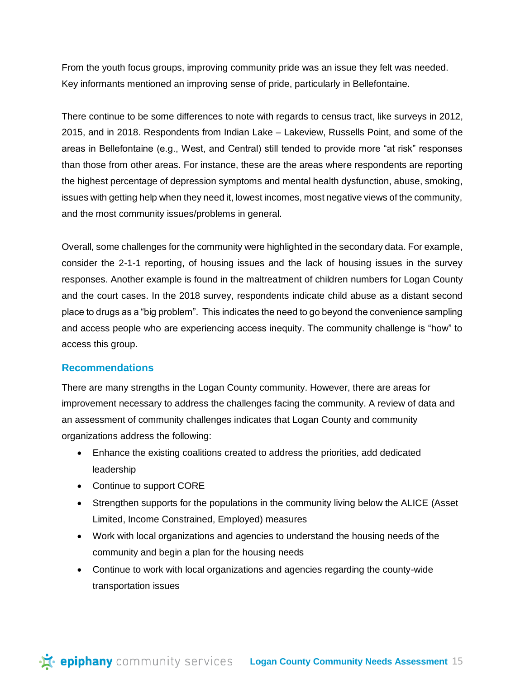From the youth focus groups, improving community pride was an issue they felt was needed. Key informants mentioned an improving sense of pride, particularly in Bellefontaine.

There continue to be some differences to note with regards to census tract, like surveys in 2012, 2015, and in 2018. Respondents from Indian Lake – Lakeview, Russells Point, and some of the areas in Bellefontaine (e.g., West, and Central) still tended to provide more "at risk" responses than those from other areas. For instance, these are the areas where respondents are reporting the highest percentage of depression symptoms and mental health dysfunction, abuse, smoking, issues with getting help when they need it, lowest incomes, most negative views of the community, and the most community issues/problems in general.

Overall, some challenges for the community were highlighted in the secondary data. For example, consider the 2-1-1 reporting, of housing issues and the lack of housing issues in the survey responses. Another example is found in the maltreatment of children numbers for Logan County and the court cases. In the 2018 survey, respondents indicate child abuse as a distant second place to drugs as a "big problem". This indicates the need to go beyond the convenience sampling and access people who are experiencing access inequity. The community challenge is "how" to access this group.

### **Recommendations**

There are many strengths in the Logan County community. However, there are areas for improvement necessary to address the challenges facing the community. A review of data and an assessment of community challenges indicates that Logan County and community organizations address the following:

- Enhance the existing coalitions created to address the priorities, add dedicated leadership
- Continue to support CORE
- Strengthen supports for the populations in the community living below the ALICE (Asset Limited, Income Constrained, Employed) measures
- Work with local organizations and agencies to understand the housing needs of the community and begin a plan for the housing needs
- Continue to work with local organizations and agencies regarding the county-wide transportation issues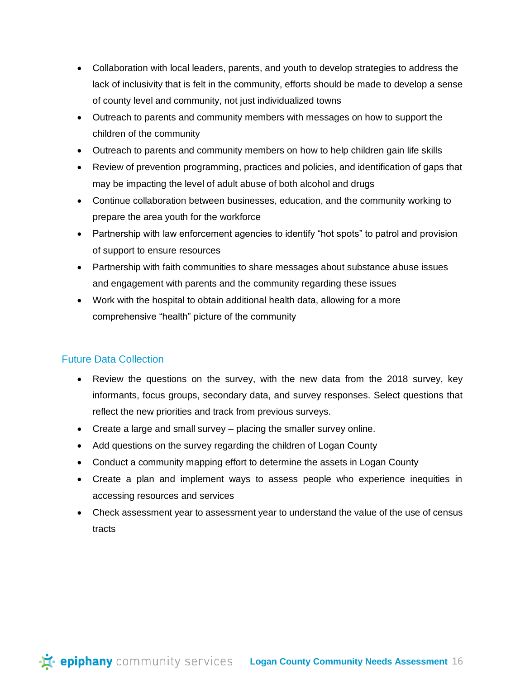- Collaboration with local leaders, parents, and youth to develop strategies to address the lack of inclusivity that is felt in the community, efforts should be made to develop a sense of county level and community, not just individualized towns
- Outreach to parents and community members with messages on how to support the children of the community
- Outreach to parents and community members on how to help children gain life skills
- Review of prevention programming, practices and policies, and identification of gaps that may be impacting the level of adult abuse of both alcohol and drugs
- Continue collaboration between businesses, education, and the community working to prepare the area youth for the workforce
- Partnership with law enforcement agencies to identify "hot spots" to patrol and provision of support to ensure resources
- Partnership with faith communities to share messages about substance abuse issues and engagement with parents and the community regarding these issues
- Work with the hospital to obtain additional health data, allowing for a more comprehensive "health" picture of the community

# Future Data Collection

- Review the questions on the survey, with the new data from the 2018 survey, key informants, focus groups, secondary data, and survey responses. Select questions that reflect the new priorities and track from previous surveys.
- Create a large and small survey placing the smaller survey online.
- Add questions on the survey regarding the children of Logan County
- Conduct a community mapping effort to determine the assets in Logan County
- Create a plan and implement ways to assess people who experience inequities in accessing resources and services
- Check assessment year to assessment year to understand the value of the use of census tracts